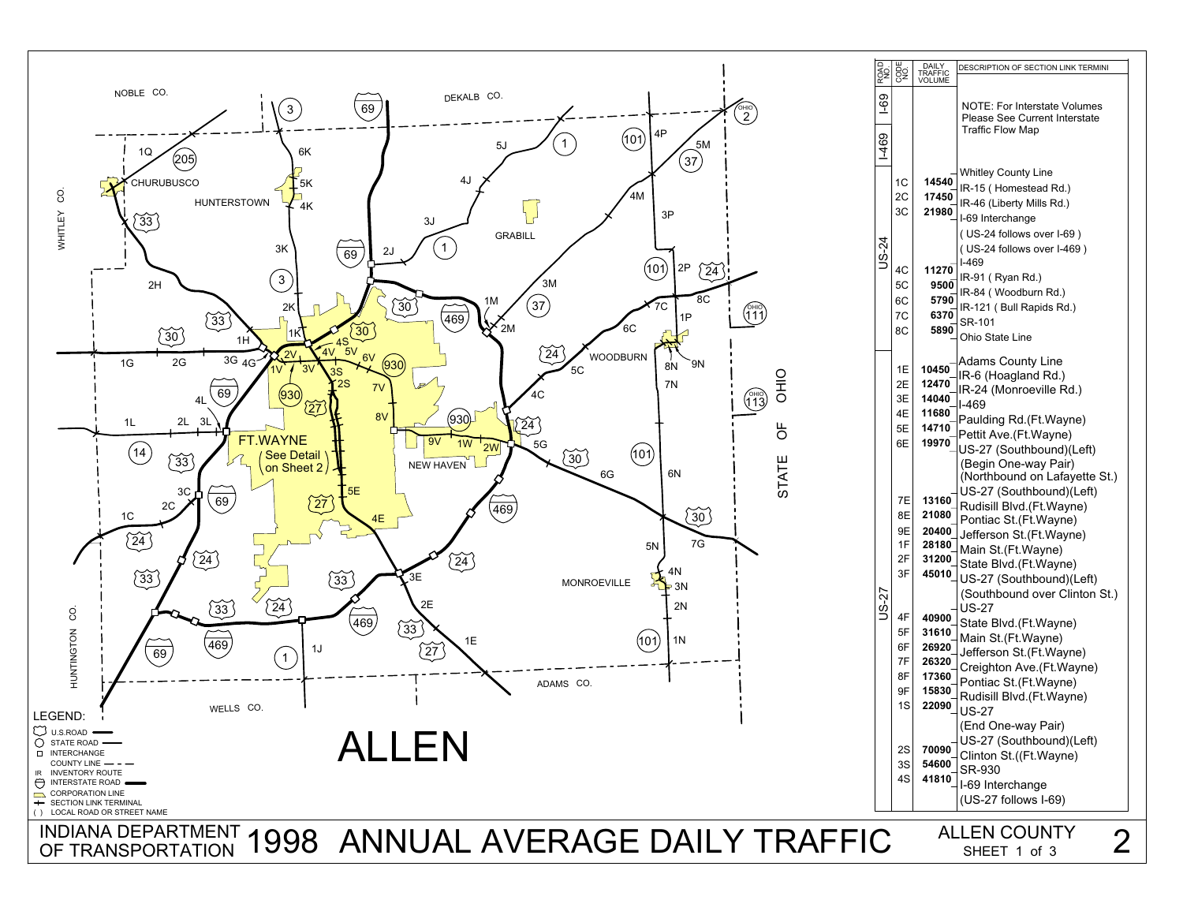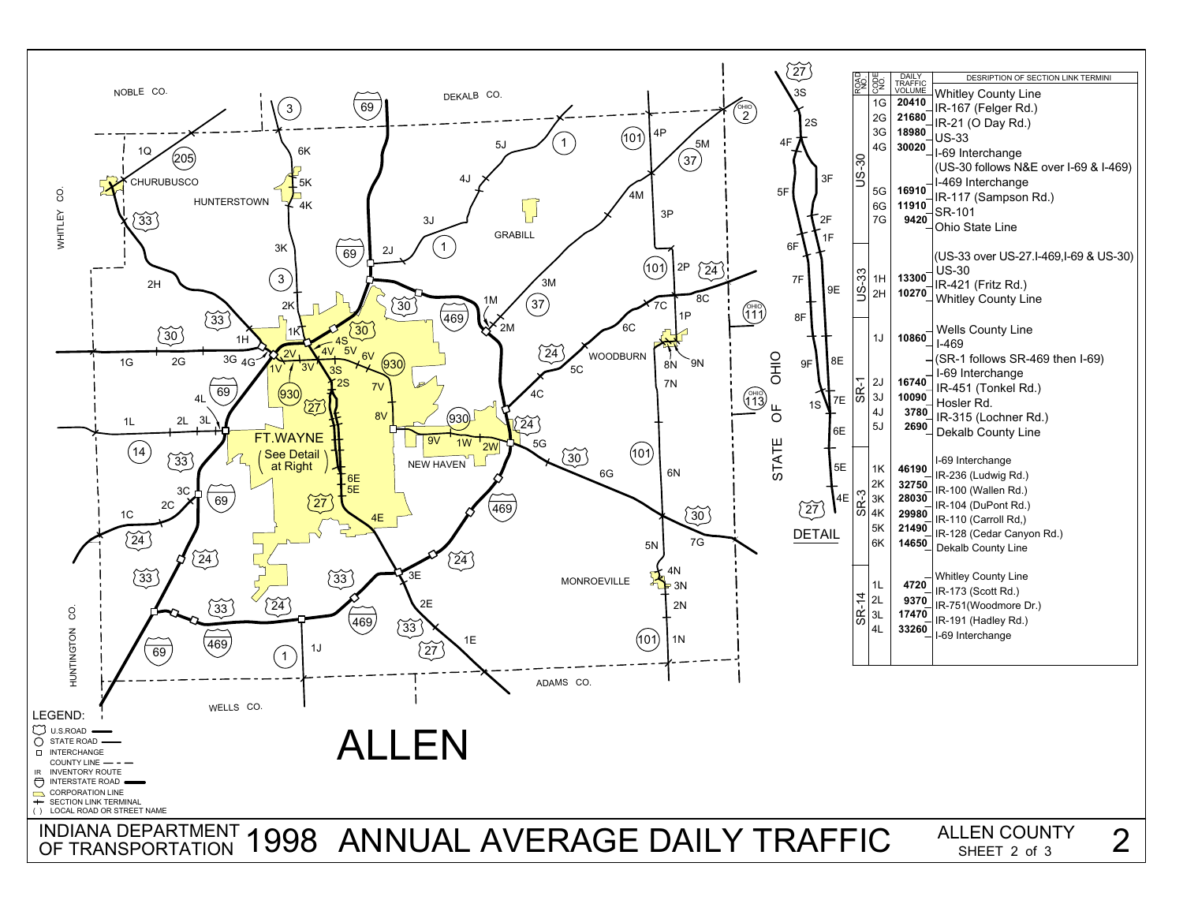